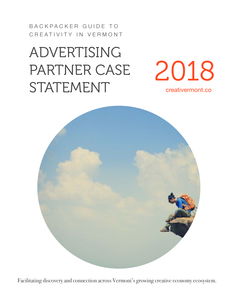BACKPACKER GUIDE TO CREATIVITY IN VERMONT

## ADVERTISING PARTNER CASE STATEMENT





Facilitating discovery and connection across Vermont's growing creative economy ecosystem.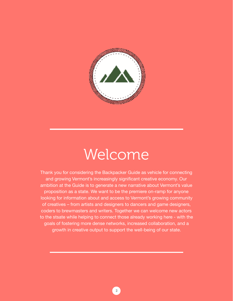

## Welcome

Thank you for considering the Backpacker Guide as vehicle for connecting and growing Vermont's increasingly significant creative economy. Our ambition at the Guide is to generate a new narrative about Vermont's value proposition as a state. We want to be the premiere on-ramp for anyone looking for information about and access to Vermont's growing community of creatives – from artists and designers to dancers and game designers, coders to brewmasters and writers. Together we can welcome new actors to the stsate while helping to connect those already working here - with the goals of fostering more dense networks, increased collaboration, and a growth in creative output to support the well-being of our state.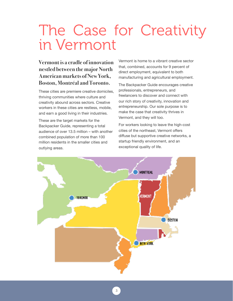## The Case for Creativity in Vermont

### **Vermont is a cradle of innovation nestled between the major North American markets of New York, Boston, Montréal and Toronto.**

These cities are premiere creative domiciles, thriving communities where culture and creativity abound across sectors. Creative workers in these cities are restless, mobile, and earn a good living in their industries.

These are the target markets for the Backpacker Guide, representing a total audience of over 13.5 million – with another combined population of more than 100 million residents in the smaller cities and outlying areas.

Vermont is home to a vibrant creative sector that, combined, accounts for 9 percent of direct employment, equivalent to both manufacturing and agricultural employment.

The Backpacker Guide encourages creative professionals, entrepreneurs, and freelancers to discover and connect with our rich story of creativity, innovation and entrepreneurship. Our sole purpose is to make the case that creativity thrives in Vermont, and they will too.

For workers looking to leave the high-cost cities of the northeast, Vermont offers diffuse but supportive creative networks, a startup friendly environment, and an exceptional quality of life.



3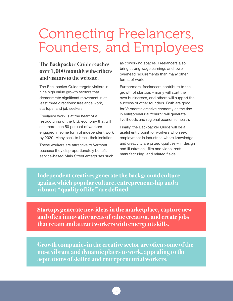### Connecting Freelancers, Founders, and Employees

#### **The Backpacker Guide reaches over 1,000 monthly subscribers and visitors to the website.**

The Backpacker Guide targets visitors in nine high value growth sectors that demonstrate significant movement in at least three directions: freelance work, startups, and job seekers.

Freelance work is at the heart of a restructuring of the U.S. economy that will see more than 50 percent of workers engaged in some form of independent work by 2020. Many seek to break their isolation.

These workers are attractive to Vermont because they disproportionately benefit service-based Main Street enterprises such as coworking spaces. Freelancers also bring strong wage earnings and lower overhead requirements than many other forms of work.

Furthermore, freelancers contribute to the growth of startups – many will start their own businesses, and others will support the success of other founders. Both are good for Vermont's creative economy as the rise in entrepreneurial "churn" will generate livelihoods and regional economic health.

Finally, the Backpacker Guide will be a useful entry point for workers who seek employment in industries where knowledge and creativity are prized qualities – in design and illustration, film and video, craft manufacturing, and related fields.

**Independent creatives generate the background culture against which popular culture, entrepreneurship and a vibrant "quality of life" are defined.** 

**Startups generate new ideas in the marketplace, capture new and often innovative areas of value creation, and create jobs that retain and attract workers with emergent skills.** 

**Growth companies in the creative sector are often some of the most vibrant and dynamic places to work, appealing to the aspirations of skilled and entrepreneurial workers.**

4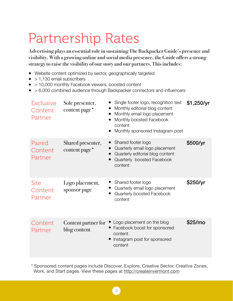## Partnership Rates

**Advertising plays an essential role in sustaining The Backpacker Guide's presence and visibility. With a growing online and social media presence, the Guide offers a strong strategy to raise the visibility of our story and our partners. This includes:** 

- Website content optimized by sector, geographically targeted
- $\bullet$  > 1,130 email subscribers
- > 10,000 monthly Facebook viewers, boosted content
- > 6,000 combined audience through Backpacker connectors and influencers

| <b>Exclusive</b><br>Content<br>Partner | Sole presenter,<br>content page*    | Single footer logo, recognition text<br>Monthly editorial blog content<br>Monthly email logo placement<br>Monthly boosted Facebook<br>content<br>Monthly sponsored Instagram post | \$1,250/yr          |
|----------------------------------------|-------------------------------------|-----------------------------------------------------------------------------------------------------------------------------------------------------------------------------------|---------------------|
| Paired<br>Content<br>Partner           | Shared presenter,<br>content page*  | Shared footer logo<br>Quarterly email logo placement<br>Quarlerly editorial blog content<br>Quarterly boosted Facebook<br>content                                                 | \$500/yr            |
| <b>Site</b><br>Content<br>Partner      | Logo placement,<br>sponsor page     | Shared footer logo<br>Quarterly email logo placement<br>Quarterly boosted Facebook<br>content                                                                                     | \$250/yr            |
| Content<br>Partner                     | Content partner for<br>blog content | Logo placement on the blog<br>Facebook boost for sponsored<br>content<br>Instagram post for sponsored<br>content                                                                  | \$25/m <sub>o</sub> |

\* Sponsored content pages include Discover, Explore, Creative Sector, Creative Zones, Work, and Start pages. View these pages at <http://createinvermont.com>

5